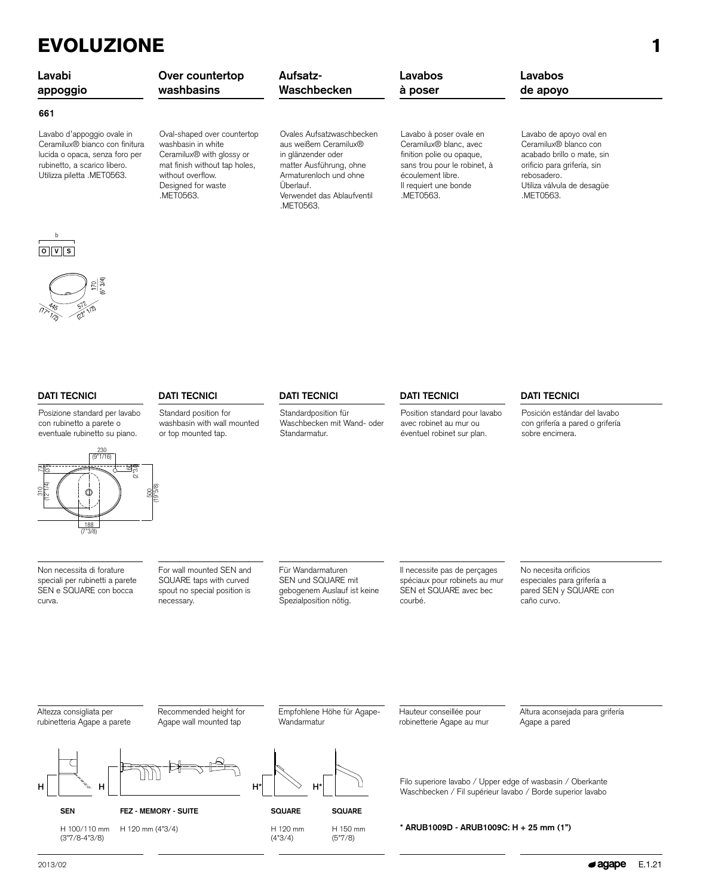## EVOLUZIONE 1

| Lavabi<br>appoggio                                                                                                                                           | Over countertop<br>washbasins                                                                                                                                                       | Aufsatz-<br>Waschbecken                                                                                                                                                               | Lavabos<br>à poser                                                                                                                                                                    | Lavabos<br>de apoyo                                                                                                                                                     |
|--------------------------------------------------------------------------------------------------------------------------------------------------------------|-------------------------------------------------------------------------------------------------------------------------------------------------------------------------------------|---------------------------------------------------------------------------------------------------------------------------------------------------------------------------------------|---------------------------------------------------------------------------------------------------------------------------------------------------------------------------------------|-------------------------------------------------------------------------------------------------------------------------------------------------------------------------|
| 661                                                                                                                                                          |                                                                                                                                                                                     |                                                                                                                                                                                       |                                                                                                                                                                                       |                                                                                                                                                                         |
| Lavabo d'appoggio ovale in<br>Ceramilux® bianco con finitura<br>lucida o opaca, senza foro per<br>rubinetto, a scarico libero.<br>Utilizza piletta .MET0563. | Oval-shaped over countertop<br>washbasin in white<br>Ceramilux <sup>®</sup> with glossy or<br>mat finish without tap holes,<br>without overflow.<br>Designed for waste<br>.MET0563. | Ovales Aufsatzwaschbecken<br>aus weißem Ceramilux®<br>in glänzender oder<br>matter Ausführung, ohne<br>Armaturenloch und ohne<br>Überlauf.<br>Verwendet das Ablaufventil<br>.MET0563. | Lavabo à poser ovale en<br>Ceramilux <sup>®</sup> blanc, avec<br>finition polie ou opaque,<br>sans trou pour le robinet, à<br>écoulement libre.<br>Il requiert une bonde<br>.MET0563. | Lavabo de apoyo oval en<br>Ceramilux® blanco con<br>acabado brillo o mate, sin<br>orificio para grifería, sin<br>rebosadero.<br>Utiliza válvula de desagüe<br>.MET0563. |



**O V S** b



Posizione standard per lavabo con rubinetto a parete o

 $\frac{3}{4}$ 



Non necessita di forature speciali per rubinetti a parete SEN e SQUARE con bocca curva.

For wall mounted SEN and SQUARE taps with curved spout no special position is necessary.

Standard position for washbasin with wall mounted or top mounted tap.

> Für Wandarmaturen SEN und SQUARE mit gebogenem Auslauf ist keine Spezialposition nötig.

Standardposition für Waschbecken mit Wand- oder

Standarmatur.

Empfohlene Höhe für Agape-

Il necessite pas de perçages spéciaux pour robinets au mur SEN et SQUARE avec bec courbé.

Position standard pour lavabo avec robinet au mur ou éventuel robinet sur plan.

Hauteur conseillée pour robinetterie Agape au mur

No necesita orificios especiales para grifería a pared SEN y SQUARE con caño curvo.

Altura aconsejada para grifería

Agape a pared

Altezza consigliata per rubinetteria Agape a parete Recommended height for Agape wall mounted tap

**FEZ - MEMORY - SUITE**

H 120 mm (4"3/4)



Wandarmatur

(4"3/4)

**SQUARE** H 120 mm **SQUARE**

H 150 mm (5"7/8)

Filo superiore lavabo / Upper edge of wasbasin / Oberkante Waschbecken / Fil supérieur lavabo / Borde superior lavabo

**\* ARUB1009D - ARUB1009C: H + 25 mm (1")**

Posición estándar del lavabo con grifería a pared o grifería sobre encimera.

**SEN**

H 100/110 mm (3"7/8-4"3/8)